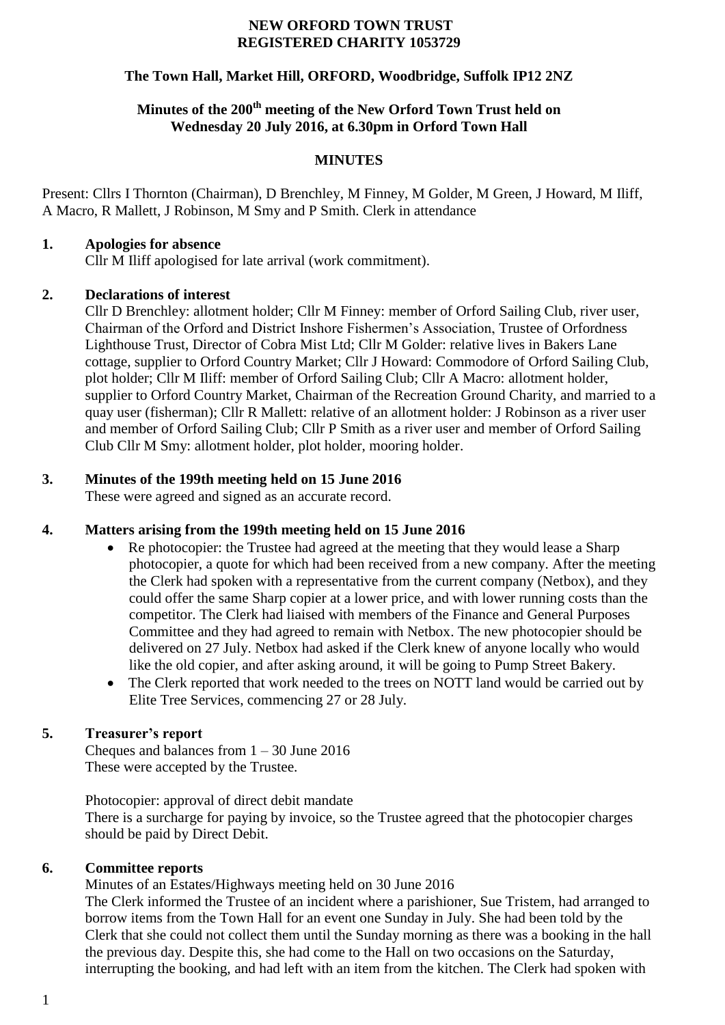#### **NEW ORFORD TOWN TRUST REGISTERED CHARITY 1053729**

## **The Town Hall, Market Hill, ORFORD, Woodbridge, Suffolk IP12 2NZ**

# **Minutes of the 200th meeting of the New Orford Town Trust held on Wednesday 20 July 2016, at 6.30pm in Orford Town Hall**

#### **MINUTES**

Present: Cllrs I Thornton (Chairman), D Brenchley, M Finney, M Golder, M Green, J Howard, M Iliff, A Macro, R Mallett, J Robinson, M Smy and P Smith. Clerk in attendance

#### **1. Apologies for absence**

Cllr M Iliff apologised for late arrival (work commitment).

#### **2. Declarations of interest**

Cllr D Brenchley: allotment holder; Cllr M Finney: member of Orford Sailing Club, river user, Chairman of the Orford and District Inshore Fishermen's Association, Trustee of Orfordness Lighthouse Trust, Director of Cobra Mist Ltd; Cllr M Golder: relative lives in Bakers Lane cottage, supplier to Orford Country Market; Cllr J Howard: Commodore of Orford Sailing Club, plot holder; Cllr M Iliff: member of Orford Sailing Club; Cllr A Macro: allotment holder, supplier to Orford Country Market, Chairman of the Recreation Ground Charity, and married to a quay user (fisherman); Cllr R Mallett: relative of an allotment holder: J Robinson as a river user and member of Orford Sailing Club; Cllr P Smith as a river user and member of Orford Sailing Club Cllr M Smy: allotment holder, plot holder, mooring holder.

## **3. Minutes of the 199th meeting held on 15 June 2016**

These were agreed and signed as an accurate record.

## **4. Matters arising from the 199th meeting held on 15 June 2016**

- Re photocopier: the Trustee had agreed at the meeting that they would lease a Sharp photocopier, a quote for which had been received from a new company. After the meeting the Clerk had spoken with a representative from the current company (Netbox), and they could offer the same Sharp copier at a lower price, and with lower running costs than the competitor. The Clerk had liaised with members of the Finance and General Purposes Committee and they had agreed to remain with Netbox. The new photocopier should be delivered on 27 July. Netbox had asked if the Clerk knew of anyone locally who would like the old copier, and after asking around, it will be going to Pump Street Bakery.
- The Clerk reported that work needed to the trees on NOTT land would be carried out by Elite Tree Services, commencing 27 or 28 July.

## **5. Treasurer's report**

Cheques and balances from  $1 - 30$  June 2016 These were accepted by the Trustee.

Photocopier: approval of direct debit mandate There is a surcharge for paying by invoice, so the Trustee agreed that the photocopier charges should be paid by Direct Debit.

## **6. Committee reports**

Minutes of an Estates/Highways meeting held on 30 June 2016

The Clerk informed the Trustee of an incident where a parishioner, Sue Tristem, had arranged to borrow items from the Town Hall for an event one Sunday in July. She had been told by the Clerk that she could not collect them until the Sunday morning as there was a booking in the hall the previous day. Despite this, she had come to the Hall on two occasions on the Saturday, interrupting the booking, and had left with an item from the kitchen. The Clerk had spoken with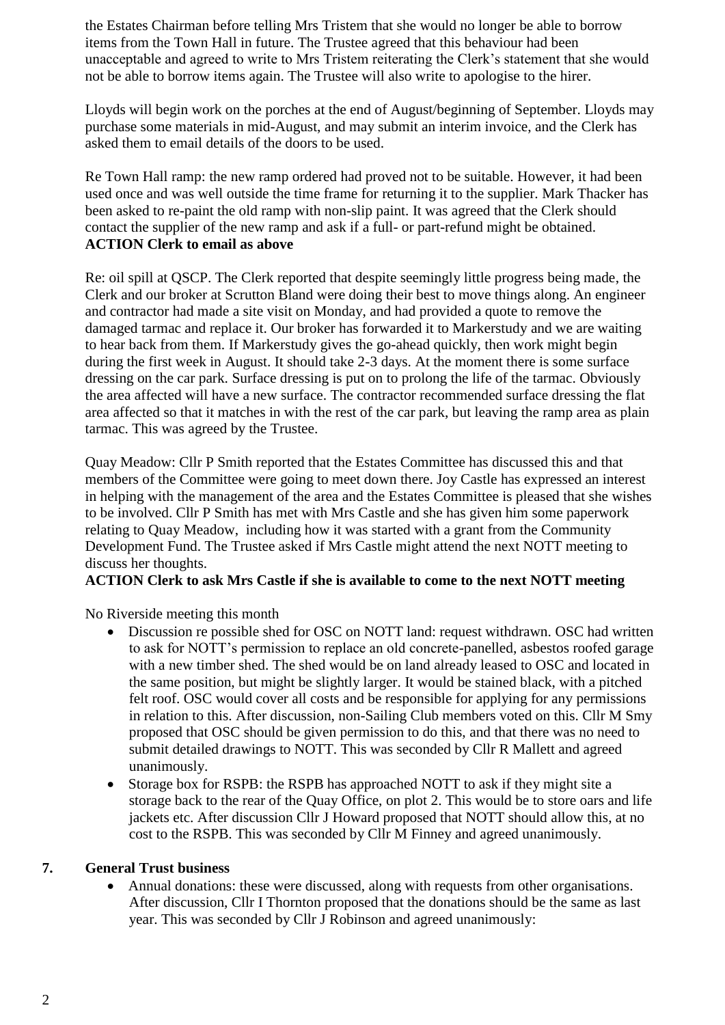the Estates Chairman before telling Mrs Tristem that she would no longer be able to borrow items from the Town Hall in future. The Trustee agreed that this behaviour had been unacceptable and agreed to write to Mrs Tristem reiterating the Clerk's statement that she would not be able to borrow items again. The Trustee will also write to apologise to the hirer.

Lloyds will begin work on the porches at the end of August/beginning of September. Lloyds may purchase some materials in mid-August, and may submit an interim invoice, and the Clerk has asked them to email details of the doors to be used.

Re Town Hall ramp: the new ramp ordered had proved not to be suitable. However, it had been used once and was well outside the time frame for returning it to the supplier. Mark Thacker has been asked to re-paint the old ramp with non-slip paint. It was agreed that the Clerk should contact the supplier of the new ramp and ask if a full- or part-refund might be obtained. **ACTION Clerk to email as above**

Re: oil spill at QSCP. The Clerk reported that despite seemingly little progress being made, the Clerk and our broker at Scrutton Bland were doing their best to move things along. An engineer and contractor had made a site visit on Monday, and had provided a quote to remove the damaged tarmac and replace it. Our broker has forwarded it to Markerstudy and we are waiting to hear back from them. If Markerstudy gives the go-ahead quickly, then work might begin during the first week in August. It should take 2-3 days. At the moment there is some surface dressing on the car park. Surface dressing is put on to prolong the life of the tarmac. Obviously the area affected will have a new surface. The contractor recommended surface dressing the flat area affected so that it matches in with the rest of the car park, but leaving the ramp area as plain tarmac. This was agreed by the Trustee.

Quay Meadow: Cllr P Smith reported that the Estates Committee has discussed this and that members of the Committee were going to meet down there. Joy Castle has expressed an interest in helping with the management of the area and the Estates Committee is pleased that she wishes to be involved. Cllr P Smith has met with Mrs Castle and she has given him some paperwork relating to Quay Meadow, including how it was started with a grant from the Community Development Fund. The Trustee asked if Mrs Castle might attend the next NOTT meeting to discuss her thoughts.

## **ACTION Clerk to ask Mrs Castle if she is available to come to the next NOTT meeting**

No Riverside meeting this month

- Discussion re possible shed for OSC on NOTT land: request withdrawn. OSC had written to ask for NOTT's permission to replace an old concrete-panelled, asbestos roofed garage with a new timber shed. The shed would be on land already leased to OSC and located in the same position, but might be slightly larger. It would be stained black, with a pitched felt roof. OSC would cover all costs and be responsible for applying for any permissions in relation to this. After discussion, non-Sailing Club members voted on this. Cllr M Smy proposed that OSC should be given permission to do this, and that there was no need to submit detailed drawings to NOTT. This was seconded by Cllr R Mallett and agreed unanimously.
- Storage box for RSPB: the RSPB has approached NOTT to ask if they might site a storage back to the rear of the Quay Office, on plot 2. This would be to store oars and life jackets etc. After discussion Cllr J Howard proposed that NOTT should allow this, at no cost to the RSPB. This was seconded by Cllr M Finney and agreed unanimously.

## **7. General Trust business**

 Annual donations: these were discussed, along with requests from other organisations. After discussion, Cllr I Thornton proposed that the donations should be the same as last year. This was seconded by Cllr J Robinson and agreed unanimously: